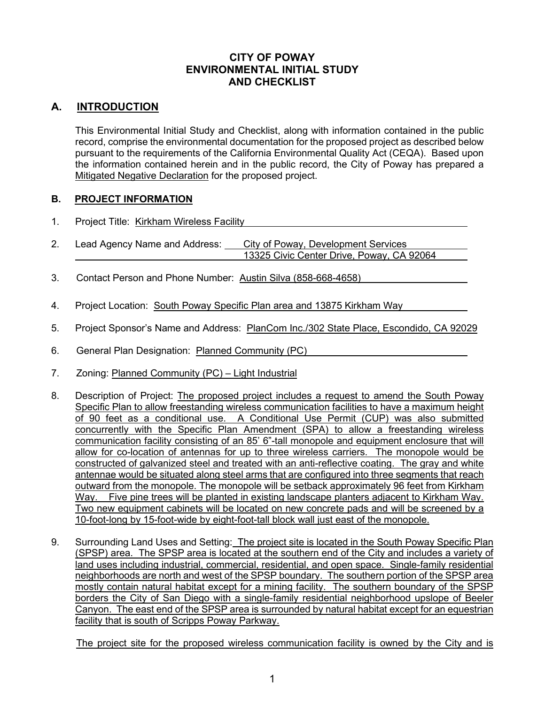### **CITY OF POWAY ENVIRONMENTAL INITIAL STUDY AND CHECKLIST**

# **A. INTRODUCTION**

This Environmental Initial Study and Checklist, along with information contained in the public record, comprise the environmental documentation for the proposed project as described below pursuant to the requirements of the California Environmental Quality Act (CEQA). Based upon the information contained herein and in the public record, the City of Poway has prepared a Mitigated Negative Declaration for the proposed project.

### **B. PROJECT INFORMATION**

- 1. Project Title: Kirkham Wireless Facility
- 2. Lead Agency Name and Address: City of Poway, Development Services 13325 Civic Center Drive, Poway, CA 92064
- 3. Contact Person and Phone Number: Austin Silva (858-668-4658)
- 4. Project Location: South Poway Specific Plan area and 13875 Kirkham Way
- 5. Project Sponsor's Name and Address: PlanCom Inc./302 State Place, Escondido, CA 92029
- 6. General Plan Designation: Planned Community (PC)
- 7. Zoning: Planned Community (PC) Light Industrial
- 8. Description of Project: The proposed project includes a request to amend the South Poway Specific Plan to allow freestanding wireless communication facilities to have a maximum height of 90 feet as a conditional use. A Conditional Use Permit (CUP) was also submitted concurrently with the Specific Plan Amendment (SPA) to allow a freestanding wireless communication facility consisting of an 85' 6"-tall monopole and equipment enclosure that will allow for co-location of antennas for up to three wireless carriers. The monopole would be constructed of galvanized steel and treated with an anti-reflective coating. The gray and white antennae would be situated along steel arms that are configured into three segments that reach outward from the monopole. The monopole will be setback approximately 96 feet from Kirkham Way. Five pine trees will be planted in existing landscape planters adjacent to Kirkham Way. Two new equipment cabinets will be located on new concrete pads and will be screened by a 10-foot-long by 15-foot-wide by eight-foot-tall block wall just east of the monopole.
- 9. Surrounding Land Uses and Setting: The project site is located in the South Poway Specific Plan (SPSP) area. The SPSP area is located at the southern end of the City and includes a variety of land uses including industrial, commercial, residential, and open space. Single-family residential neighborhoods are north and west of the SPSP boundary. The southern portion of the SPSP area mostly contain natural habitat except for a mining facility. The southern boundary of the SPSP borders the City of San Diego with a single-family residential neighborhood upslope of Beeler Canyon. The east end of the SPSP area is surrounded by natural habitat except for an equestrian facility that is south of Scripps Poway Parkway.

The project site for the proposed wireless communication facility is owned by the City and is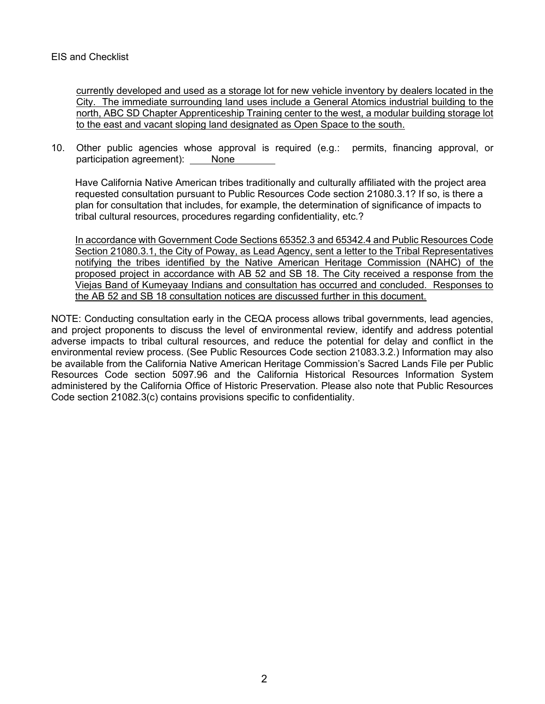#### EIS and Checklist

currently developed and used as a storage lot for new vehicle inventory by dealers located in the City. The immediate surrounding land uses include a General Atomics industrial building to the north, ABC SD Chapter Apprenticeship Training center to the west, a modular building storage lot to the east and vacant sloping land designated as Open Space to the south.

10. Other public agencies whose approval is required (e.g.: permits, financing approval, or participation agreement): None

Have California Native American tribes traditionally and culturally affiliated with the project area requested consultation pursuant to Public Resources Code section 21080.3.1? If so, is there a plan for consultation that includes, for example, the determination of significance of impacts to tribal cultural resources, procedures regarding confidentiality, etc.?

In accordance with Government Code Sections 65352.3 and 65342.4 and Public Resources Code Section 21080.3.1, the City of Poway, as Lead Agency, sent a letter to the Tribal Representatives notifying the tribes identified by the Native American Heritage Commission (NAHC) of the proposed project in accordance with AB 52 and SB 18. The City received a response from the Viejas Band of Kumeyaay Indians and consultation has occurred and concluded. Responses to the AB 52 and SB 18 consultation notices are discussed further in this document.

NOTE: Conducting consultation early in the CEQA process allows tribal governments, lead agencies, and project proponents to discuss the level of environmental review, identify and address potential adverse impacts to tribal cultural resources, and reduce the potential for delay and conflict in the environmental review process. (See Public Resources Code section 21083.3.2.) Information may also be available from the California Native American Heritage Commission's Sacred Lands File per Public Resources Code section 5097.96 and the California Historical Resources Information System administered by the California Office of Historic Preservation. Please also note that Public Resources Code section 21082.3(c) contains provisions specific to confidentiality.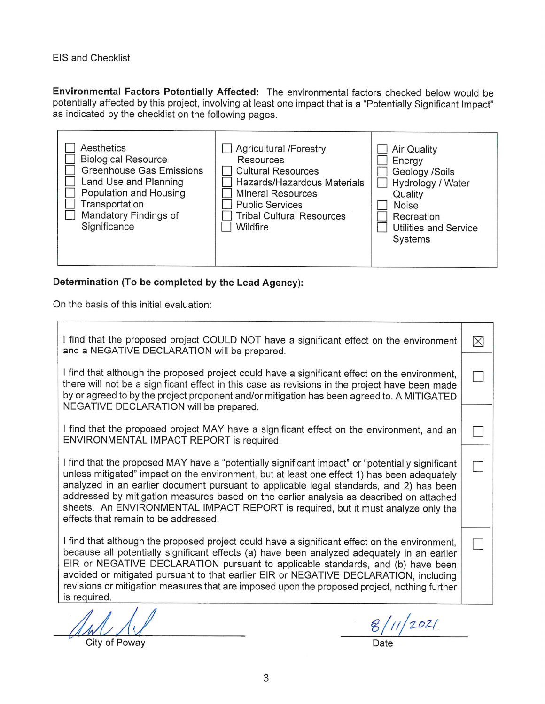EIS and Checklist

Environmental Factors Potentially Affected: The environmental factors checked below would be potentially affected by this project, involving at least one impact that is a "Potentially Significant Impact" as indicated by the checklist on the following pages.

## Determination (To be completed by the Lead Agency):

On the basis of this initial evaluation:

| I find that the proposed project COULD NOT have a significant effect on the environment<br>and a NEGATIVE DECLARATION will be prepared.                                                                                                                                                                                                                                                                                                                                                                           | $\boxtimes$ |
|-------------------------------------------------------------------------------------------------------------------------------------------------------------------------------------------------------------------------------------------------------------------------------------------------------------------------------------------------------------------------------------------------------------------------------------------------------------------------------------------------------------------|-------------|
| I find that although the proposed project could have a significant effect on the environment,<br>there will not be a significant effect in this case as revisions in the project have been made<br>by or agreed to by the project proponent and/or mitigation has been agreed to. A MITIGATED<br>NEGATIVE DECLARATION will be prepared.                                                                                                                                                                           |             |
| I find that the proposed project MAY have a significant effect on the environment, and an<br>ENVIRONMENTAL IMPACT REPORT is required.                                                                                                                                                                                                                                                                                                                                                                             |             |
| I find that the proposed MAY have a "potentially significant impact" or "potentially significant<br>unless mitigated" impact on the environment, but at least one effect 1) has been adequately<br>analyzed in an earlier document pursuant to applicable legal standards, and 2) has been<br>addressed by mitigation measures based on the earlier analysis as described on attached<br>sheets. An ENVIRONMENTAL IMPACT REPORT is required, but it must analyze only the<br>effects that remain to be addressed. |             |
| I find that although the proposed project could have a significant effect on the environment,<br>because all potentially significant effects (a) have been analyzed adequately in an earlier<br>EIR or NEGATIVE DECLARATION pursuant to applicable standards, and (b) have been<br>avoided or mitigated pursuant to that earlier EIR or NEGATIVE DECLARATION, including<br>revisions or mitigation measures that are imposed upon the proposed project, nothing further<br>is required.                           |             |
| $A$ $A$ $A$<br>$\mathcal{L}$                                                                                                                                                                                                                                                                                                                                                                                                                                                                                      |             |

AM A'Y

 $\frac{2}{3}$  / / / / 2021.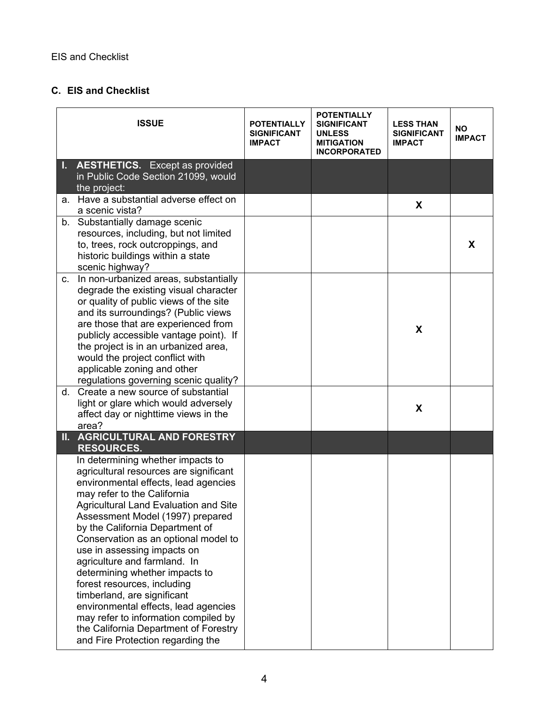# **C. EIS and Checklist**

|    | <b>ISSUE</b>                                                                                                                                                                                                                                                                                                                                                                                                                                                                                                                                                                                                                                   | <b>POTENTIALLY</b><br><b>SIGNIFICANT</b><br><b>IMPACT</b> | <b>POTENTIALLY</b><br>SIGNIFICANT<br>UNLESS<br><b>MITIGATION</b><br><b>INCORPORATED</b> | <b>LESS THAN</b><br><b>SIGNIFICANT</b><br><b>IMPACT</b> | <b>NO</b><br><b>IMPACT</b> |
|----|------------------------------------------------------------------------------------------------------------------------------------------------------------------------------------------------------------------------------------------------------------------------------------------------------------------------------------------------------------------------------------------------------------------------------------------------------------------------------------------------------------------------------------------------------------------------------------------------------------------------------------------------|-----------------------------------------------------------|-----------------------------------------------------------------------------------------|---------------------------------------------------------|----------------------------|
|    | <b>AESTHETICS.</b> Except as provided<br>in Public Code Section 21099, would<br>the project:                                                                                                                                                                                                                                                                                                                                                                                                                                                                                                                                                   |                                                           |                                                                                         |                                                         |                            |
| а. | Have a substantial adverse effect on<br>a scenic vista?                                                                                                                                                                                                                                                                                                                                                                                                                                                                                                                                                                                        |                                                           |                                                                                         | X                                                       |                            |
|    | b. Substantially damage scenic<br>resources, including, but not limited<br>to, trees, rock outcroppings, and<br>historic buildings within a state<br>scenic highway?                                                                                                                                                                                                                                                                                                                                                                                                                                                                           |                                                           |                                                                                         |                                                         | X                          |
| C. | In non-urbanized areas, substantially<br>degrade the existing visual character<br>or quality of public views of the site<br>and its surroundings? (Public views<br>are those that are experienced from<br>publicly accessible vantage point). If<br>the project is in an urbanized area,<br>would the project conflict with<br>applicable zoning and other<br>regulations governing scenic quality?                                                                                                                                                                                                                                            |                                                           |                                                                                         | X                                                       |                            |
| d. | Create a new source of substantial<br>light or glare which would adversely<br>affect day or nighttime views in the<br>area?                                                                                                                                                                                                                                                                                                                                                                                                                                                                                                                    |                                                           |                                                                                         | X                                                       |                            |
|    | <b>II. AGRICULTURAL AND FORESTRY</b><br><b>RESOURCES.</b>                                                                                                                                                                                                                                                                                                                                                                                                                                                                                                                                                                                      |                                                           |                                                                                         |                                                         |                            |
|    | In determining whether impacts to<br>agricultural resources are significant<br>environmental effects, lead agencies<br>may refer to the California<br><b>Agricultural Land Evaluation and Site</b><br>Assessment Model (1997) prepared<br>by the California Department of<br>Conservation as an optional model to<br>use in assessing impacts on<br>agriculture and farmland. In<br>determining whether impacts to<br>forest resources, including<br>timberland, are significant<br>environmental effects, lead agencies<br>may refer to information compiled by<br>the California Department of Forestry<br>and Fire Protection regarding the |                                                           |                                                                                         |                                                         |                            |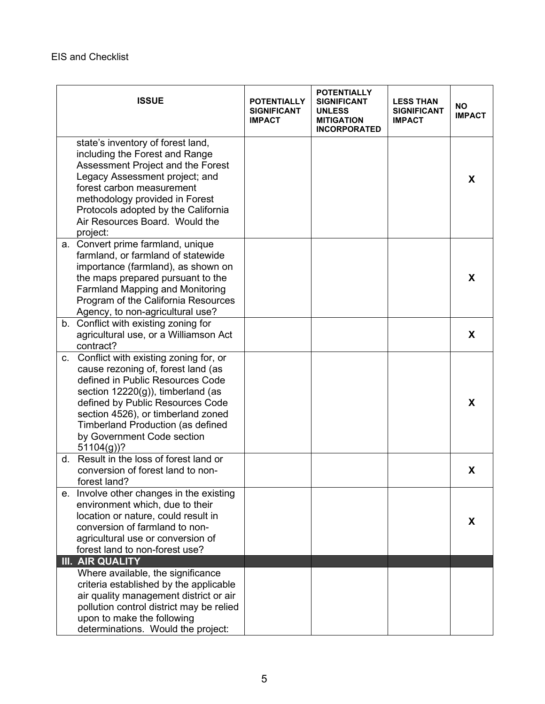|    | <b>ISSUE</b>                                                                                                                                                                                                                                                                                                                | <b>POTENTIALLY</b><br><b>SIGNIFICANT</b><br><b>IMPACT</b> | <b>POTENTIALLY</b><br><b>SIGNIFICANT</b><br><b>UNLESS</b><br><b>MITIGATION</b><br><b>INCORPORATED</b> | <b>LESS THAN</b><br><b>SIGNIFICANT</b><br><b>IMPACT</b> | NO.<br><b>IMPACT</b> |
|----|-----------------------------------------------------------------------------------------------------------------------------------------------------------------------------------------------------------------------------------------------------------------------------------------------------------------------------|-----------------------------------------------------------|-------------------------------------------------------------------------------------------------------|---------------------------------------------------------|----------------------|
|    | state's inventory of forest land,<br>including the Forest and Range<br>Assessment Project and the Forest<br>Legacy Assessment project; and<br>forest carbon measurement<br>methodology provided in Forest<br>Protocols adopted by the California<br>Air Resources Board. Would the<br>project:                              |                                                           |                                                                                                       |                                                         | X                    |
| а. | Convert prime farmland, unique<br>farmland, or farmland of statewide<br>importance (farmland), as shown on<br>the maps prepared pursuant to the<br><b>Farmland Mapping and Monitoring</b><br>Program of the California Resources<br>Agency, to non-agricultural use?                                                        |                                                           |                                                                                                       |                                                         | X                    |
|    | b. Conflict with existing zoning for<br>agricultural use, or a Williamson Act<br>contract?                                                                                                                                                                                                                                  |                                                           |                                                                                                       |                                                         | X                    |
|    | c. Conflict with existing zoning for, or<br>cause rezoning of, forest land (as<br>defined in Public Resources Code<br>section 12220(g)), timberland (as<br>defined by Public Resources Code<br>section 4526), or timberland zoned<br><b>Timberland Production (as defined</b><br>by Government Code section<br>$51104(g)$ ? |                                                           |                                                                                                       |                                                         | X                    |
|    | d. Result in the loss of forest land or<br>conversion of forest land to non-<br>forest land?                                                                                                                                                                                                                                |                                                           |                                                                                                       |                                                         | X                    |
| е. | Involve other changes in the existing<br>environment which, due to their<br>location or nature, could result in<br>conversion of farmland to non-<br>agricultural use or conversion of<br>forest land to non-forest use?                                                                                                    |                                                           |                                                                                                       |                                                         | X                    |
|    | <b>III. AIR QUALITY</b><br>Where available, the significance<br>criteria established by the applicable<br>air quality management district or air<br>pollution control district may be relied<br>upon to make the following<br>determinations. Would the project:                                                            |                                                           |                                                                                                       |                                                         |                      |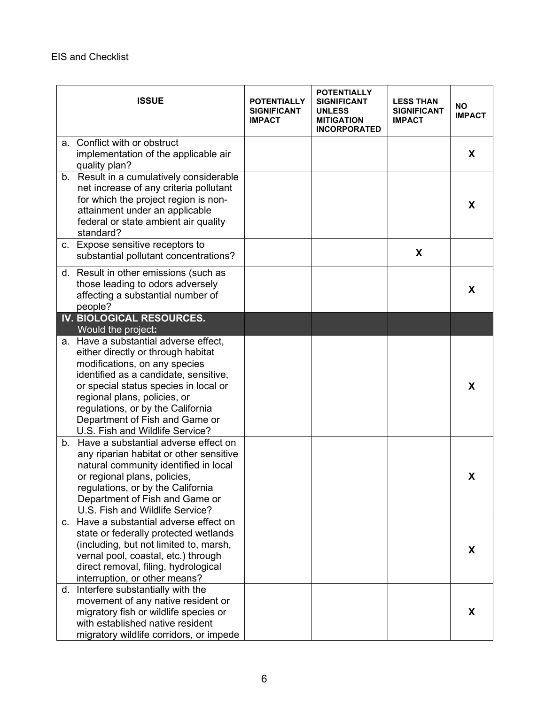|    | <b>ISSUE</b>                                                                                                                                                                                                                                                                                                                             | <b>POTENTIALLY</b><br><b>SIGNIFICANT</b><br><b>IMPACT</b> | <b>POTENTIALLY</b><br><b>SIGNIFICANT</b><br><b>UNLESS</b><br><b>MITIGATION</b><br><b>INCORPORATED</b> | <b>LESS THAN</b><br><b>SIGNIFICANT</b><br><b>IMPACT</b> | <b>NO</b><br><b>IMPACT</b> |
|----|------------------------------------------------------------------------------------------------------------------------------------------------------------------------------------------------------------------------------------------------------------------------------------------------------------------------------------------|-----------------------------------------------------------|-------------------------------------------------------------------------------------------------------|---------------------------------------------------------|----------------------------|
| а. | Conflict with or obstruct<br>implementation of the applicable air<br>quality plan?                                                                                                                                                                                                                                                       |                                                           |                                                                                                       |                                                         | X                          |
|    | b. Result in a cumulatively considerable<br>net increase of any criteria pollutant<br>for which the project region is non-<br>attainment under an applicable<br>federal or state ambient air quality<br>standard?                                                                                                                        |                                                           |                                                                                                       |                                                         | X                          |
|    | c. Expose sensitive receptors to<br>substantial pollutant concentrations?                                                                                                                                                                                                                                                                |                                                           |                                                                                                       | X                                                       |                            |
|    | d. Result in other emissions (such as<br>those leading to odors adversely<br>affecting a substantial number of<br>people?                                                                                                                                                                                                                |                                                           |                                                                                                       |                                                         | X                          |
|    | IV. BIOLOGICAL RESOURCES.<br>Would the project:                                                                                                                                                                                                                                                                                          |                                                           |                                                                                                       |                                                         |                            |
|    | a. Have a substantial adverse effect,<br>either directly or through habitat<br>modifications, on any species<br>identified as a candidate, sensitive,<br>or special status species in local or<br>regional plans, policies, or<br>regulations, or by the California<br>Department of Fish and Game or<br>U.S. Fish and Wildlife Service? |                                                           |                                                                                                       |                                                         | X                          |
|    | b. Have a substantial adverse effect on<br>any riparian habitat or other sensitive<br>natural community identified in local<br>or regional plans, policies,<br>regulations, or by the California<br>Department of Fish and Game or<br>U.S. Fish and Wildlife Service?                                                                    |                                                           |                                                                                                       |                                                         | X                          |
|    | c. Have a substantial adverse effect on<br>state or federally protected wetlands<br>(including, but not limited to, marsh,<br>vernal pool, coastal, etc.) through<br>direct removal, filing, hydrological<br>interruption, or other means?                                                                                               |                                                           |                                                                                                       |                                                         | X                          |
|    | d. Interfere substantially with the<br>movement of any native resident or<br>migratory fish or wildlife species or<br>with established native resident<br>migratory wildlife corridors, or impede                                                                                                                                        |                                                           |                                                                                                       |                                                         | X                          |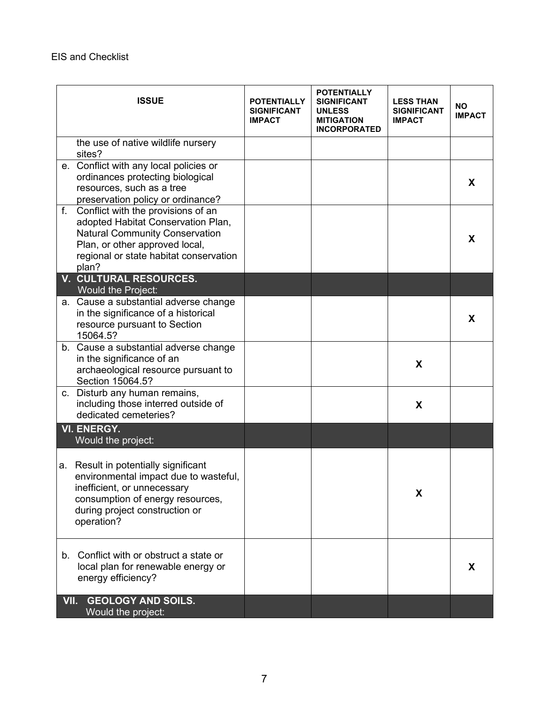|      | <b>ISSUE</b>                                                                                                                                                                                           | <b>POTENTIALLY</b><br><b>SIGNIFICANT</b><br><b>IMPACT</b> | <b>POTENTIALLY</b><br><b>SIGNIFICANT</b><br><b>UNLESS</b><br><b>MITIGATION</b><br><b>INCORPORATED</b> | <b>LESS THAN</b><br><b>SIGNIFICANT</b><br><b>IMPACT</b> | <b>NO</b><br><b>IMPACT</b> |
|------|--------------------------------------------------------------------------------------------------------------------------------------------------------------------------------------------------------|-----------------------------------------------------------|-------------------------------------------------------------------------------------------------------|---------------------------------------------------------|----------------------------|
|      | the use of native wildlife nursery<br>sites?                                                                                                                                                           |                                                           |                                                                                                       |                                                         |                            |
|      | e. Conflict with any local policies or<br>ordinances protecting biological<br>resources, such as a tree<br>preservation policy or ordinance?                                                           |                                                           |                                                                                                       |                                                         | X                          |
| f.   | Conflict with the provisions of an<br>adopted Habitat Conservation Plan,<br><b>Natural Community Conservation</b><br>Plan, or other approved local,<br>regional or state habitat conservation<br>plan? |                                                           |                                                                                                       |                                                         | X                          |
|      | <b>V. CULTURAL RESOURCES.</b><br><b>Would the Project:</b>                                                                                                                                             |                                                           |                                                                                                       |                                                         |                            |
|      | a. Cause a substantial adverse change<br>in the significance of a historical<br>resource pursuant to Section<br>15064.5?                                                                               |                                                           |                                                                                                       |                                                         | X                          |
|      | b. Cause a substantial adverse change<br>in the significance of an<br>archaeological resource pursuant to<br>Section 15064.5?                                                                          |                                                           |                                                                                                       | X                                                       |                            |
|      | c. Disturb any human remains,<br>including those interred outside of<br>dedicated cemeteries?                                                                                                          |                                                           |                                                                                                       | X                                                       |                            |
|      | <b>VI. ENERGY.</b><br>Would the project:                                                                                                                                                               |                                                           |                                                                                                       |                                                         |                            |
| a.   | Result in potentially significant<br>environmental impact due to wasteful,<br>inefficient, or unnecessary<br>consumption of energy resources,<br>during project construction or<br>operation?          |                                                           |                                                                                                       | X                                                       |                            |
|      | b. Conflict with or obstruct a state or<br>local plan for renewable energy or<br>energy efficiency?                                                                                                    |                                                           |                                                                                                       |                                                         | X                          |
| VII. | <b>GEOLOGY AND SOILS.</b><br>Would the project:                                                                                                                                                        |                                                           |                                                                                                       |                                                         |                            |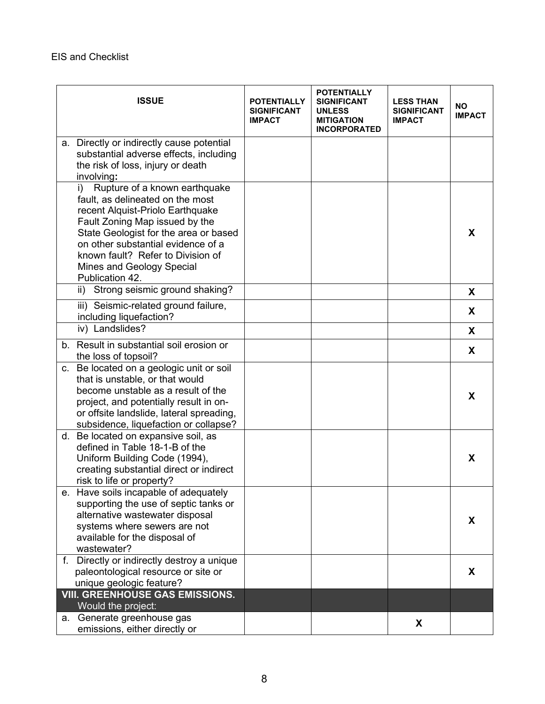|    | <b>ISSUE</b>                                                                                                                                                                                                                                                                                                                | <b>POTENTIALLY</b><br><b>SIGNIFICANT</b><br><b>IMPACT</b> | <b>POTENTIALLY</b><br><b>SIGNIFICANT</b><br><b>UNLESS</b><br><b>MITIGATION</b><br><b>INCORPORATED</b> | <b>LESS THAN</b><br><b>SIGNIFICANT</b><br><b>IMPACT</b> | <b>NO</b><br><b>IMPACT</b> |
|----|-----------------------------------------------------------------------------------------------------------------------------------------------------------------------------------------------------------------------------------------------------------------------------------------------------------------------------|-----------------------------------------------------------|-------------------------------------------------------------------------------------------------------|---------------------------------------------------------|----------------------------|
|    | a. Directly or indirectly cause potential<br>substantial adverse effects, including<br>the risk of loss, injury or death<br>involving:                                                                                                                                                                                      |                                                           |                                                                                                       |                                                         |                            |
|    | Rupture of a known earthquake<br>$\mathsf{i}$<br>fault, as delineated on the most<br>recent Alquist-Priolo Earthquake<br>Fault Zoning Map issued by the<br>State Geologist for the area or based<br>on other substantial evidence of a<br>known fault? Refer to Division of<br>Mines and Geology Special<br>Publication 42. |                                                           |                                                                                                       |                                                         | X                          |
|    | Strong seismic ground shaking?<br>ii)<br>iii) Seismic-related ground failure,                                                                                                                                                                                                                                               |                                                           |                                                                                                       |                                                         | X                          |
|    | including liquefaction?                                                                                                                                                                                                                                                                                                     |                                                           |                                                                                                       |                                                         | X                          |
|    | iv) Landslides?                                                                                                                                                                                                                                                                                                             |                                                           |                                                                                                       |                                                         | X                          |
|    | b. Result in substantial soil erosion or<br>the loss of topsoil?                                                                                                                                                                                                                                                            |                                                           |                                                                                                       |                                                         | X                          |
|    | c. Be located on a geologic unit or soil<br>that is unstable, or that would<br>become unstable as a result of the<br>project, and potentially result in on-<br>or offsite landslide, lateral spreading,<br>subsidence, liquefaction or collapse?                                                                            |                                                           |                                                                                                       |                                                         | X                          |
|    | d. Be located on expansive soil, as<br>defined in Table 18-1-B of the<br>Uniform Building Code (1994),<br>creating substantial direct or indirect<br>risk to life or property?                                                                                                                                              |                                                           |                                                                                                       |                                                         | X                          |
|    | e. Have soils incapable of adequately<br>supporting the use of septic tanks or<br>alternative wastewater disposal<br>systems where sewers are not<br>available for the disposal of<br>wastewater?                                                                                                                           |                                                           |                                                                                                       |                                                         | X                          |
|    | f. Directly or indirectly destroy a unique<br>paleontological resource or site or<br>unique geologic feature?                                                                                                                                                                                                               |                                                           |                                                                                                       |                                                         | X                          |
|    | <b>VIII. GREENHOUSE GAS EMISSIONS.</b><br>Would the project:                                                                                                                                                                                                                                                                |                                                           |                                                                                                       |                                                         |                            |
| а. | Generate greenhouse gas<br>emissions, either directly or                                                                                                                                                                                                                                                                    |                                                           |                                                                                                       | X                                                       |                            |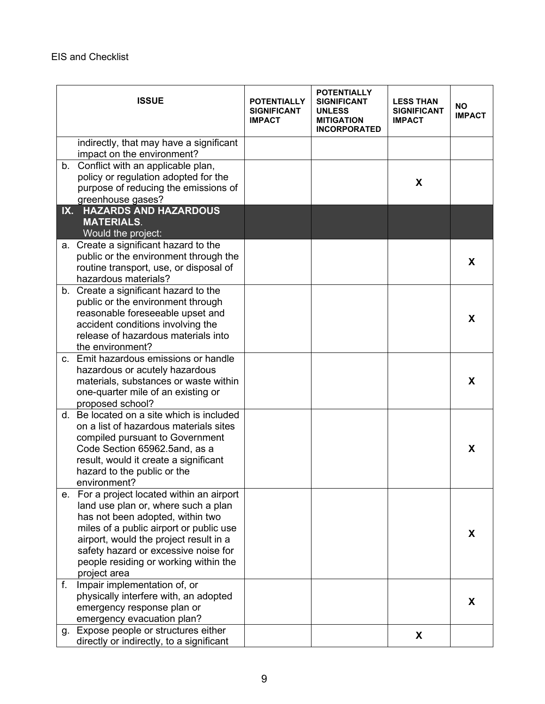|     | <b>ISSUE</b>                                                                | <b>POTENTIALLY</b><br><b>SIGNIFICANT</b><br><b>IMPACT</b> | <b>POTENTIALLY</b><br><b>SIGNIFICANT</b><br><b>UNLESS</b><br><b>MITIGATION</b><br><b>INCORPORATED</b> | <b>LESS THAN</b><br><b>SIGNIFICANT</b><br><b>IMPACT</b> | <b>NO</b><br><b>IMPACT</b> |
|-----|-----------------------------------------------------------------------------|-----------------------------------------------------------|-------------------------------------------------------------------------------------------------------|---------------------------------------------------------|----------------------------|
|     | indirectly, that may have a significant<br>impact on the environment?       |                                                           |                                                                                                       |                                                         |                            |
|     | b. Conflict with an applicable plan,                                        |                                                           |                                                                                                       |                                                         |                            |
|     | policy or regulation adopted for the                                        |                                                           |                                                                                                       |                                                         |                            |
|     | purpose of reducing the emissions of                                        |                                                           |                                                                                                       | X                                                       |                            |
|     | greenhouse gases?                                                           |                                                           |                                                                                                       |                                                         |                            |
| IX. | <b>HAZARDS AND HAZARDOUS</b><br><b>MATERIALS.</b><br>Would the project:     |                                                           |                                                                                                       |                                                         |                            |
|     | a. Create a significant hazard to the                                       |                                                           |                                                                                                       |                                                         |                            |
|     | public or the environment through the                                       |                                                           |                                                                                                       |                                                         |                            |
|     | routine transport, use, or disposal of                                      |                                                           |                                                                                                       |                                                         | X                          |
|     | hazardous materials?                                                        |                                                           |                                                                                                       |                                                         |                            |
|     | b. Create a significant hazard to the                                       |                                                           |                                                                                                       |                                                         |                            |
|     | public or the environment through                                           |                                                           |                                                                                                       |                                                         |                            |
|     | reasonable foreseeable upset and                                            |                                                           |                                                                                                       |                                                         | X                          |
|     | accident conditions involving the                                           |                                                           |                                                                                                       |                                                         |                            |
|     | release of hazardous materials into                                         |                                                           |                                                                                                       |                                                         |                            |
|     | the environment?                                                            |                                                           |                                                                                                       |                                                         |                            |
|     | c. Emit hazardous emissions or handle                                       |                                                           |                                                                                                       |                                                         |                            |
|     | hazardous or acutely hazardous                                              |                                                           |                                                                                                       |                                                         | X                          |
|     | materials, substances or waste within<br>one-quarter mile of an existing or |                                                           |                                                                                                       |                                                         |                            |
|     | proposed school?                                                            |                                                           |                                                                                                       |                                                         |                            |
|     | d. Be located on a site which is included                                   |                                                           |                                                                                                       |                                                         |                            |
|     | on a list of hazardous materials sites                                      |                                                           |                                                                                                       |                                                         |                            |
|     | compiled pursuant to Government                                             |                                                           |                                                                                                       |                                                         |                            |
|     | Code Section 65962.5and, as a                                               |                                                           |                                                                                                       |                                                         | X                          |
|     | result, would it create a significant                                       |                                                           |                                                                                                       |                                                         |                            |
|     | hazard to the public or the                                                 |                                                           |                                                                                                       |                                                         |                            |
|     | environment?                                                                |                                                           |                                                                                                       |                                                         |                            |
|     | e. For a project located within an airport                                  |                                                           |                                                                                                       |                                                         |                            |
|     | land use plan or, where such a plan                                         |                                                           |                                                                                                       |                                                         |                            |
|     | has not been adopted, within two                                            |                                                           |                                                                                                       |                                                         |                            |
|     | miles of a public airport or public use                                     |                                                           |                                                                                                       |                                                         | X                          |
|     | airport, would the project result in a                                      |                                                           |                                                                                                       |                                                         |                            |
|     | safety hazard or excessive noise for                                        |                                                           |                                                                                                       |                                                         |                            |
|     | people residing or working within the<br>project area                       |                                                           |                                                                                                       |                                                         |                            |
| f.  | Impair implementation of, or                                                |                                                           |                                                                                                       |                                                         |                            |
|     | physically interfere with, an adopted                                       |                                                           |                                                                                                       |                                                         |                            |
|     | emergency response plan or                                                  |                                                           |                                                                                                       |                                                         | X                          |
|     | emergency evacuation plan?                                                  |                                                           |                                                                                                       |                                                         |                            |
|     | g. Expose people or structures either                                       |                                                           |                                                                                                       |                                                         |                            |
|     | directly or indirectly, to a significant                                    |                                                           |                                                                                                       | X                                                       |                            |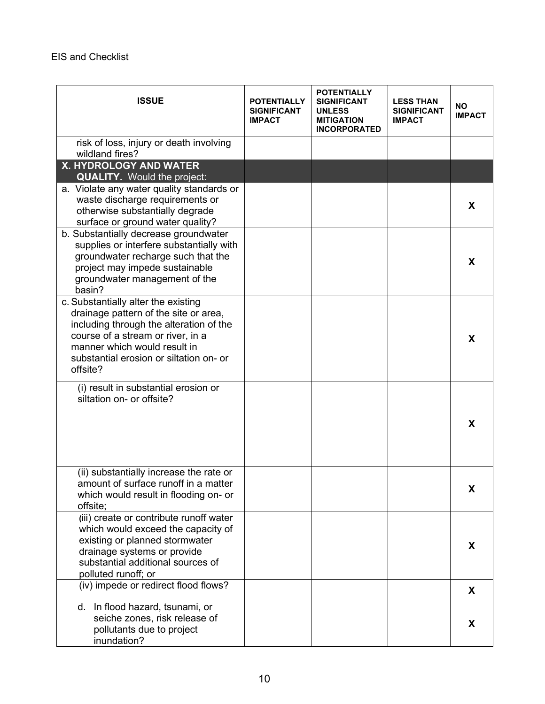| <b>ISSUE</b>                                                                                                                                                                                                                                        | <b>POTENTIALLY</b><br><b>SIGNIFICANT</b><br><b>IMPACT</b> | <b>POTENTIALLY</b><br><b>SIGNIFICANT</b><br><b>UNLESS</b><br><b>MITIGATION</b><br><b>INCORPORATED</b> | <b>LESS THAN</b><br><b>SIGNIFICANT</b><br><b>IMPACT</b> | <b>NO</b><br><b>IMPACT</b> |
|-----------------------------------------------------------------------------------------------------------------------------------------------------------------------------------------------------------------------------------------------------|-----------------------------------------------------------|-------------------------------------------------------------------------------------------------------|---------------------------------------------------------|----------------------------|
| risk of loss, injury or death involving<br>wildland fires?                                                                                                                                                                                          |                                                           |                                                                                                       |                                                         |                            |
| X. HYDROLOGY AND WATER                                                                                                                                                                                                                              |                                                           |                                                                                                       |                                                         |                            |
| <b>QUALITY.</b> Would the project:                                                                                                                                                                                                                  |                                                           |                                                                                                       |                                                         |                            |
| a. Violate any water quality standards or<br>waste discharge requirements or<br>otherwise substantially degrade<br>surface or ground water quality?                                                                                                 |                                                           |                                                                                                       |                                                         | X                          |
| b. Substantially decrease groundwater<br>supplies or interfere substantially with<br>groundwater recharge such that the<br>project may impede sustainable<br>groundwater management of the<br>basin?                                                |                                                           |                                                                                                       |                                                         | X                          |
| c. Substantially alter the existing<br>drainage pattern of the site or area,<br>including through the alteration of the<br>course of a stream or river, in a<br>manner which would result in<br>substantial erosion or siltation on- or<br>offsite? |                                                           |                                                                                                       |                                                         | X                          |
| (i) result in substantial erosion or<br>siltation on- or offsite?                                                                                                                                                                                   |                                                           |                                                                                                       |                                                         | X                          |
| (ii) substantially increase the rate or<br>amount of surface runoff in a matter<br>which would result in flooding on- or<br>offsite:                                                                                                                |                                                           |                                                                                                       |                                                         | X                          |
| (iii) create or contribute runoff water<br>which would exceed the capacity of<br>existing or planned stormwater<br>drainage systems or provide<br>substantial additional sources of<br>polluted runoff; or                                          |                                                           |                                                                                                       |                                                         | X                          |
| (iv) impede or redirect flood flows?                                                                                                                                                                                                                |                                                           |                                                                                                       |                                                         | X                          |
| d. In flood hazard, tsunami, or<br>seiche zones, risk release of<br>pollutants due to project<br>inundation?                                                                                                                                        |                                                           |                                                                                                       |                                                         | X                          |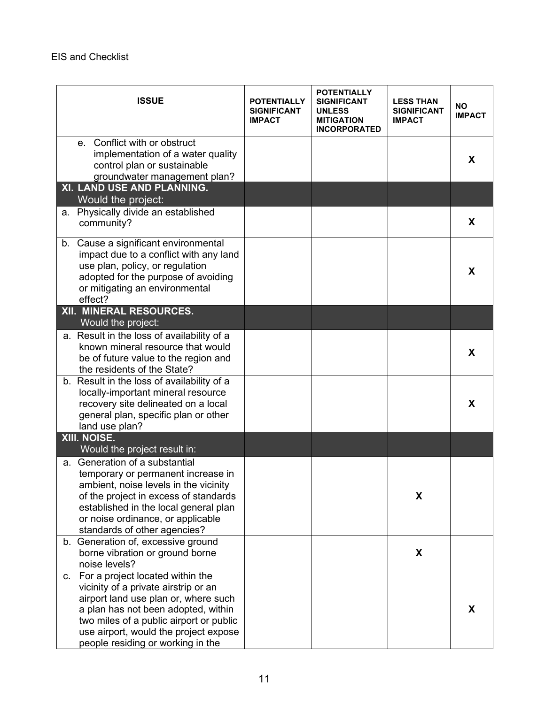|    | <b>ISSUE</b>                                                                                                                                                                                                                                                                     | <b>POTENTIALLY</b><br>SIGNIFICANT<br><b>IMPACT</b> | <b>POTENTIALLY</b><br><b>SIGNIFICANT</b><br><b>UNLESS</b><br><b>MITIGATION</b><br><b>INCORPORATED</b> | <b>LESS THAN</b><br><b>SIGNIFICANT</b><br><b>IMPACT</b> | <b>NO</b><br><b>IMPACT</b> |
|----|----------------------------------------------------------------------------------------------------------------------------------------------------------------------------------------------------------------------------------------------------------------------------------|----------------------------------------------------|-------------------------------------------------------------------------------------------------------|---------------------------------------------------------|----------------------------|
|    | e. Conflict with or obstruct<br>implementation of a water quality<br>control plan or sustainable<br>groundwater management plan?                                                                                                                                                 |                                                    |                                                                                                       |                                                         | X                          |
|    | XI. LAND USE AND PLANNING.<br>Would the project:                                                                                                                                                                                                                                 |                                                    |                                                                                                       |                                                         |                            |
| а. | Physically divide an established<br>community?                                                                                                                                                                                                                                   |                                                    |                                                                                                       |                                                         | X                          |
|    | b. Cause a significant environmental<br>impact due to a conflict with any land<br>use plan, policy, or regulation<br>adopted for the purpose of avoiding<br>or mitigating an environmental<br>effect?                                                                            |                                                    |                                                                                                       |                                                         | X                          |
|    | XII. MINERAL RESOURCES.<br>Would the project:                                                                                                                                                                                                                                    |                                                    |                                                                                                       |                                                         |                            |
|    | a. Result in the loss of availability of a<br>known mineral resource that would<br>be of future value to the region and<br>the residents of the State?                                                                                                                           |                                                    |                                                                                                       |                                                         | X                          |
|    | b. Result in the loss of availability of a<br>locally-important mineral resource<br>recovery site delineated on a local<br>general plan, specific plan or other<br>land use plan?                                                                                                |                                                    |                                                                                                       |                                                         | X                          |
|    | XIII. NOISE.<br>Would the project result in:                                                                                                                                                                                                                                     |                                                    |                                                                                                       |                                                         |                            |
|    | a. Generation of a substantial<br>temporary or permanent increase in<br>ambient, noise levels in the vicinity<br>of the project in excess of standards<br>established in the local general plan<br>or noise ordinance, or applicable<br>standards of other agencies?             |                                                    |                                                                                                       | X                                                       |                            |
|    | b. Generation of, excessive ground<br>borne vibration or ground borne<br>noise levels?                                                                                                                                                                                           |                                                    |                                                                                                       | X                                                       |                            |
| C. | For a project located within the<br>vicinity of a private airstrip or an<br>airport land use plan or, where such<br>a plan has not been adopted, within<br>two miles of a public airport or public<br>use airport, would the project expose<br>people residing or working in the |                                                    |                                                                                                       |                                                         | X                          |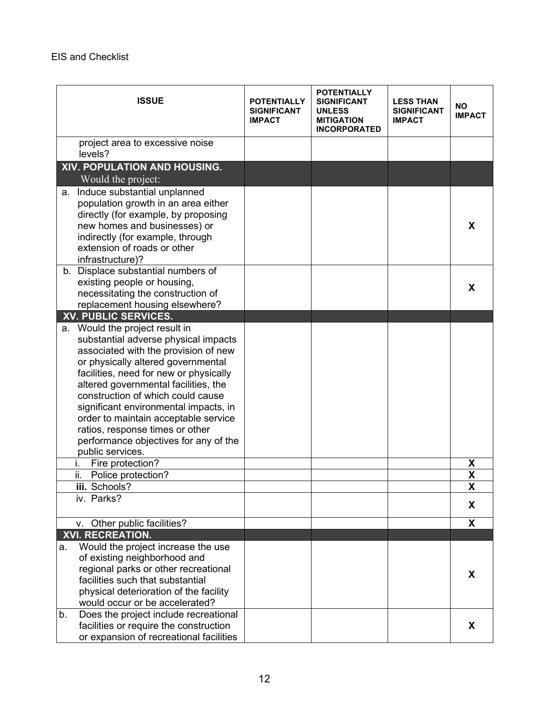| <b>ISSUE</b>                                                                                                                                                                                                                                                                                                                                                                                                                                                                                                                                       | <b>POTENTIALLY</b><br><b>SIGNIFICANT</b><br><b>IMPACT</b> | <b>POTENTIALLY</b><br><b>SIGNIFICANT</b><br><b>UNLESS</b><br><b>MITIGATION</b><br><b>INCORPORATED</b> | <b>LESS THAN</b><br><b>SIGNIFICANT</b><br><b>IMPACT</b> | <b>NO</b><br><b>IMPACT</b> |
|----------------------------------------------------------------------------------------------------------------------------------------------------------------------------------------------------------------------------------------------------------------------------------------------------------------------------------------------------------------------------------------------------------------------------------------------------------------------------------------------------------------------------------------------------|-----------------------------------------------------------|-------------------------------------------------------------------------------------------------------|---------------------------------------------------------|----------------------------|
| project area to excessive noise<br>levels?                                                                                                                                                                                                                                                                                                                                                                                                                                                                                                         |                                                           |                                                                                                       |                                                         |                            |
| XIV. POPULATION AND HOUSING.<br>Would the project:                                                                                                                                                                                                                                                                                                                                                                                                                                                                                                 |                                                           |                                                                                                       |                                                         |                            |
| Induce substantial unplanned<br>а.<br>population growth in an area either<br>directly (for example, by proposing<br>new homes and businesses) or<br>indirectly (for example, through<br>extension of roads or other<br>infrastructure)?                                                                                                                                                                                                                                                                                                            |                                                           |                                                                                                       |                                                         | X                          |
| b. Displace substantial numbers of<br>existing people or housing,<br>necessitating the construction of<br>replacement housing elsewhere?                                                                                                                                                                                                                                                                                                                                                                                                           |                                                           |                                                                                                       |                                                         | X                          |
| <b>XV. PUBLIC SERVICES.</b>                                                                                                                                                                                                                                                                                                                                                                                                                                                                                                                        |                                                           |                                                                                                       |                                                         |                            |
| a. Would the project result in<br>substantial adverse physical impacts<br>associated with the provision of new<br>or physically altered governmental<br>facilities, need for new or physically<br>altered governmental facilities, the<br>construction of which could cause<br>significant environmental impacts, in<br>order to maintain acceptable service<br>ratios, response times or other<br>performance objectives for any of the<br>public services.<br>Fire protection?<br>i.<br>ii.<br>Police protection?<br>iii. Schools?<br>iv. Parks? |                                                           |                                                                                                       |                                                         | X<br>X<br>X<br>X           |
| v. Other public facilities?                                                                                                                                                                                                                                                                                                                                                                                                                                                                                                                        |                                                           |                                                                                                       |                                                         | X                          |
| <b>XVI. RECREATION.</b>                                                                                                                                                                                                                                                                                                                                                                                                                                                                                                                            |                                                           |                                                                                                       |                                                         |                            |
| Would the project increase the use<br>a.<br>of existing neighborhood and<br>regional parks or other recreational<br>facilities such that substantial<br>physical deterioration of the facility<br>would occur or be accelerated?                                                                                                                                                                                                                                                                                                                   |                                                           |                                                                                                       |                                                         | X                          |
| Does the project include recreational<br>b.<br>facilities or require the construction<br>or expansion of recreational facilities                                                                                                                                                                                                                                                                                                                                                                                                                   |                                                           |                                                                                                       |                                                         | X                          |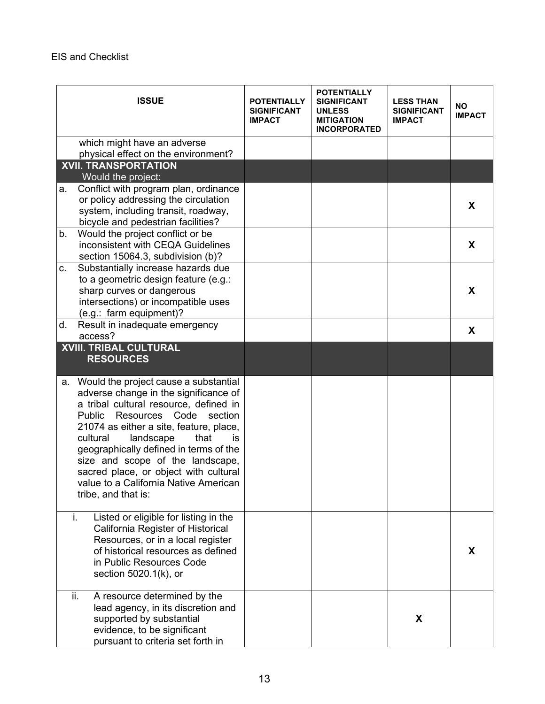|         | <b>ISSUE</b>                                                                                                                                                                                                                                                                                                                                                                                                                                           | <b>POTENTIALLY</b><br><b>SIGNIFICANT</b><br><b>IMPACT</b> | <b>POTENTIALLY</b><br><b>SIGNIFICANT</b><br><b>UNLESS</b><br><b>MITIGATION</b><br><b>INCORPORATED</b> | <b>LESS THAN</b><br><b>SIGNIFICANT</b><br><b>IMPACT</b> | <b>NO</b><br><b>IMPACT</b> |
|---------|--------------------------------------------------------------------------------------------------------------------------------------------------------------------------------------------------------------------------------------------------------------------------------------------------------------------------------------------------------------------------------------------------------------------------------------------------------|-----------------------------------------------------------|-------------------------------------------------------------------------------------------------------|---------------------------------------------------------|----------------------------|
|         | which might have an adverse                                                                                                                                                                                                                                                                                                                                                                                                                            |                                                           |                                                                                                       |                                                         |                            |
|         | physical effect on the environment?                                                                                                                                                                                                                                                                                                                                                                                                                    |                                                           |                                                                                                       |                                                         |                            |
|         | <b>XVII. TRANSPORTATION</b>                                                                                                                                                                                                                                                                                                                                                                                                                            |                                                           |                                                                                                       |                                                         |                            |
|         | Would the project:                                                                                                                                                                                                                                                                                                                                                                                                                                     |                                                           |                                                                                                       |                                                         |                            |
| а.      | Conflict with program plan, ordinance                                                                                                                                                                                                                                                                                                                                                                                                                  |                                                           |                                                                                                       |                                                         |                            |
|         | or policy addressing the circulation                                                                                                                                                                                                                                                                                                                                                                                                                   |                                                           |                                                                                                       |                                                         |                            |
|         | system, including transit, roadway,                                                                                                                                                                                                                                                                                                                                                                                                                    |                                                           |                                                                                                       |                                                         | X                          |
|         | bicycle and pedestrian facilities?                                                                                                                                                                                                                                                                                                                                                                                                                     |                                                           |                                                                                                       |                                                         |                            |
| b.      | Would the project conflict or be                                                                                                                                                                                                                                                                                                                                                                                                                       |                                                           |                                                                                                       |                                                         |                            |
|         | inconsistent with CEQA Guidelines                                                                                                                                                                                                                                                                                                                                                                                                                      |                                                           |                                                                                                       |                                                         | X                          |
|         | section 15064.3, subdivision (b)?                                                                                                                                                                                                                                                                                                                                                                                                                      |                                                           |                                                                                                       |                                                         |                            |
| $C_{1}$ | Substantially increase hazards due                                                                                                                                                                                                                                                                                                                                                                                                                     |                                                           |                                                                                                       |                                                         |                            |
|         | to a geometric design feature (e.g.:                                                                                                                                                                                                                                                                                                                                                                                                                   |                                                           |                                                                                                       |                                                         |                            |
|         | sharp curves or dangerous                                                                                                                                                                                                                                                                                                                                                                                                                              |                                                           |                                                                                                       |                                                         | X                          |
|         | intersections) or incompatible uses                                                                                                                                                                                                                                                                                                                                                                                                                    |                                                           |                                                                                                       |                                                         |                            |
|         | (e.g.: farm equipment)?                                                                                                                                                                                                                                                                                                                                                                                                                                |                                                           |                                                                                                       |                                                         |                            |
| d.      | Result in inadequate emergency                                                                                                                                                                                                                                                                                                                                                                                                                         |                                                           |                                                                                                       |                                                         |                            |
|         | access?                                                                                                                                                                                                                                                                                                                                                                                                                                                |                                                           |                                                                                                       |                                                         | X                          |
|         | <b>XVIII. TRIBAL CULTURAL</b><br><b>RESOURCES</b>                                                                                                                                                                                                                                                                                                                                                                                                      |                                                           |                                                                                                       |                                                         |                            |
|         | a. Would the project cause a substantial<br>adverse change in the significance of<br>a tribal cultural resource, defined in<br>Resources<br>Code<br><b>Public</b><br>section<br>21074 as either a site, feature, place,<br>cultural<br>landscape<br>that<br>İS.<br>geographically defined in terms of the<br>size and scope of the landscape,<br>sacred place, or object with cultural<br>value to a California Native American<br>tribe, and that is: |                                                           |                                                                                                       |                                                         |                            |
|         | i.<br>Listed or eligible for listing in the<br>California Register of Historical<br>Resources, or in a local register<br>of historical resources as defined<br>in Public Resources Code<br>section 5020.1(k), or                                                                                                                                                                                                                                       |                                                           |                                                                                                       |                                                         | X                          |
|         | ii.<br>A resource determined by the<br>lead agency, in its discretion and<br>supported by substantial<br>evidence, to be significant<br>pursuant to criteria set forth in                                                                                                                                                                                                                                                                              |                                                           |                                                                                                       | X                                                       |                            |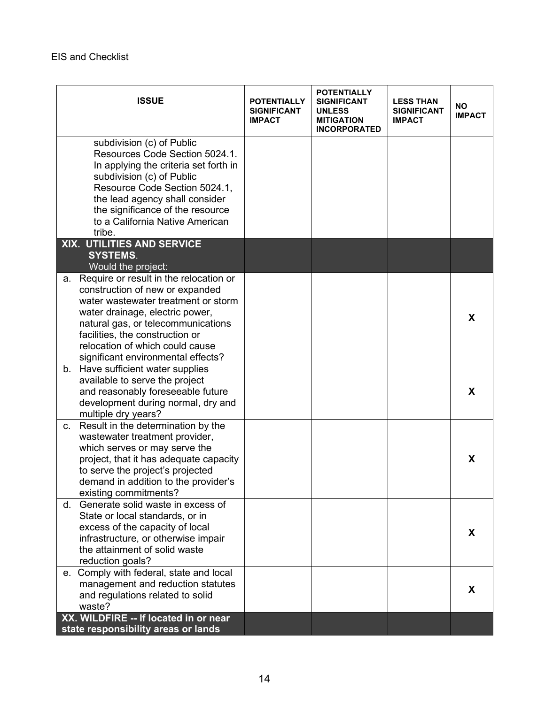| <b>ISSUE</b>                                                                                                                                                                                                                                                                                                | <b>POTENTIALLY</b><br><b>SIGNIFICANT</b><br><b>IMPACT</b> | <b>POTENTIALLY</b><br><b>SIGNIFICANT</b><br><b>UNLESS</b><br><b>MITIGATION</b><br><b>INCORPORATED</b> | <b>LESS THAN</b><br><b>SIGNIFICANT</b><br><b>IMPACT</b> | <b>NO</b><br><b>IMPACT</b> |
|-------------------------------------------------------------------------------------------------------------------------------------------------------------------------------------------------------------------------------------------------------------------------------------------------------------|-----------------------------------------------------------|-------------------------------------------------------------------------------------------------------|---------------------------------------------------------|----------------------------|
| subdivision (c) of Public<br>Resources Code Section 5024.1.<br>In applying the criteria set forth in<br>subdivision (c) of Public<br>Resource Code Section 5024.1,<br>the lead agency shall consider<br>the significance of the resource<br>to a California Native American                                 |                                                           |                                                                                                       |                                                         |                            |
| tribe.                                                                                                                                                                                                                                                                                                      |                                                           |                                                                                                       |                                                         |                            |
| XIX. UTILITIES AND SERVICE<br><b>SYSTEMS.</b><br>Would the project:                                                                                                                                                                                                                                         |                                                           |                                                                                                       |                                                         |                            |
| Require or result in the relocation or<br>a.<br>construction of new or expanded<br>water wastewater treatment or storm<br>water drainage, electric power,<br>natural gas, or telecommunications<br>facilities, the construction or<br>relocation of which could cause<br>significant environmental effects? |                                                           |                                                                                                       |                                                         | X                          |
| Have sufficient water supplies<br>b.<br>available to serve the project<br>and reasonably foreseeable future<br>development during normal, dry and<br>multiple dry years?                                                                                                                                    |                                                           |                                                                                                       |                                                         | X                          |
| Result in the determination by the<br>C.<br>wastewater treatment provider,<br>which serves or may serve the<br>project, that it has adequate capacity<br>to serve the project's projected<br>demand in addition to the provider's<br>existing commitments?                                                  |                                                           |                                                                                                       |                                                         | X                          |
| Generate solid waste in excess of<br>d.<br>State or local standards, or in<br>excess of the capacity of local<br>infrastructure, or otherwise impair<br>the attainment of solid waste<br>reduction goals?                                                                                                   |                                                           |                                                                                                       |                                                         | X.                         |
| e. Comply with federal, state and local<br>management and reduction statutes<br>and regulations related to solid<br>waste?                                                                                                                                                                                  |                                                           |                                                                                                       |                                                         | X                          |
| XX. WILDFIRE -- If located in or near<br>state responsibility areas or lands                                                                                                                                                                                                                                |                                                           |                                                                                                       |                                                         |                            |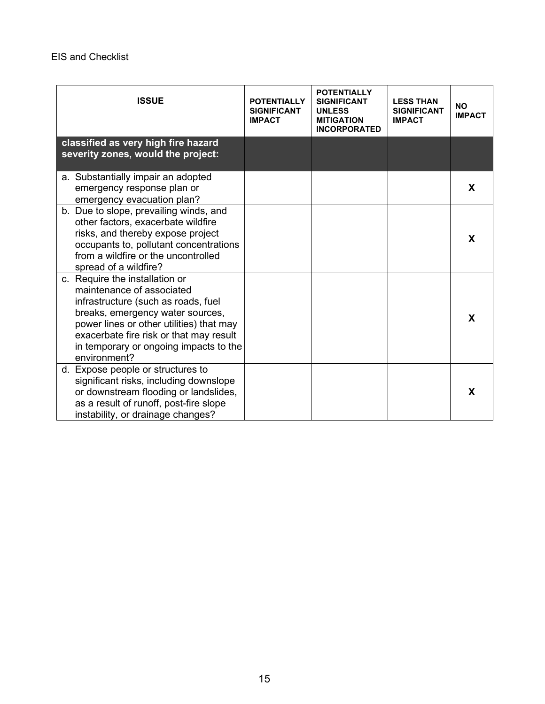| <b>ISSUE</b>                                                                                                                                                                                                                                                                            | <b>POTENTIALLY</b><br><b>SIGNIFICANT</b><br><b>IMPACT</b> | <b>POTENTIALLY</b><br><b>SIGNIFICANT</b><br><b>UNLESS</b><br><b>MITIGATION</b><br><b>INCORPORATED</b> | <b>LESS THAN</b><br><b>SIGNIFICANT</b><br><b>IMPACT</b> | <b>NO</b><br><b>IMPACT</b> |
|-----------------------------------------------------------------------------------------------------------------------------------------------------------------------------------------------------------------------------------------------------------------------------------------|-----------------------------------------------------------|-------------------------------------------------------------------------------------------------------|---------------------------------------------------------|----------------------------|
| classified as very high fire hazard<br>severity zones, would the project:                                                                                                                                                                                                               |                                                           |                                                                                                       |                                                         |                            |
| a. Substantially impair an adopted<br>emergency response plan or<br>emergency evacuation plan?                                                                                                                                                                                          |                                                           |                                                                                                       |                                                         | X                          |
| b. Due to slope, prevailing winds, and<br>other factors, exacerbate wildfire<br>risks, and thereby expose project<br>occupants to, pollutant concentrations<br>from a wildfire or the uncontrolled<br>spread of a wildfire?                                                             |                                                           |                                                                                                       |                                                         | X                          |
| c. Require the installation or<br>maintenance of associated<br>infrastructure (such as roads, fuel<br>breaks, emergency water sources,<br>power lines or other utilities) that may<br>exacerbate fire risk or that may result<br>in temporary or ongoing impacts to the<br>environment? |                                                           |                                                                                                       |                                                         | X                          |
| d. Expose people or structures to<br>significant risks, including downslope<br>or downstream flooding or landslides,<br>as a result of runoff, post-fire slope<br>instability, or drainage changes?                                                                                     |                                                           |                                                                                                       |                                                         | X                          |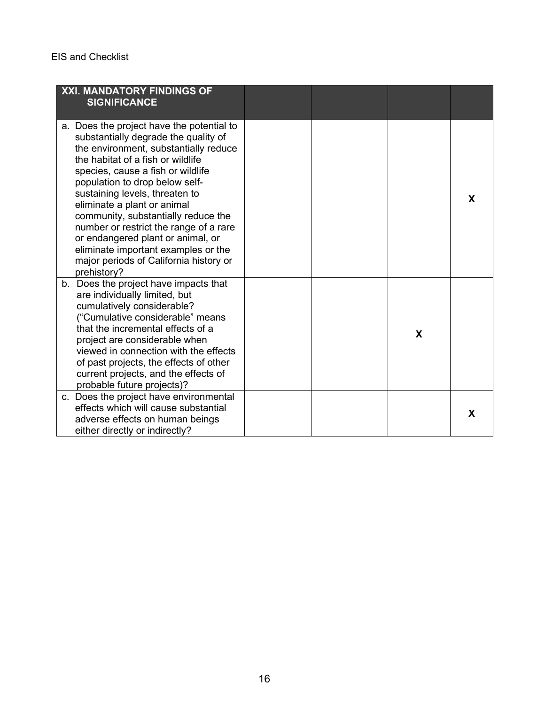| XXI. MANDATORY FINDINGS OF<br><b>SIGNIFICANCE</b>                                                                                                                                                                                                                                                                                                                                                                                                                                                                             |  |   |   |
|-------------------------------------------------------------------------------------------------------------------------------------------------------------------------------------------------------------------------------------------------------------------------------------------------------------------------------------------------------------------------------------------------------------------------------------------------------------------------------------------------------------------------------|--|---|---|
| a. Does the project have the potential to<br>substantially degrade the quality of<br>the environment, substantially reduce<br>the habitat of a fish or wildlife<br>species, cause a fish or wildlife<br>population to drop below self-<br>sustaining levels, threaten to<br>eliminate a plant or animal<br>community, substantially reduce the<br>number or restrict the range of a rare<br>or endangered plant or animal, or<br>eliminate important examples or the<br>major periods of California history or<br>prehistory? |  |   | X |
| b. Does the project have impacts that<br>are individually limited, but<br>cumulatively considerable?<br>("Cumulative considerable" means<br>that the incremental effects of a<br>project are considerable when<br>viewed in connection with the effects<br>of past projects, the effects of other<br>current projects, and the effects of<br>probable future projects)?                                                                                                                                                       |  | X |   |
| c. Does the project have environmental<br>effects which will cause substantial<br>adverse effects on human beings<br>either directly or indirectly?                                                                                                                                                                                                                                                                                                                                                                           |  |   | X |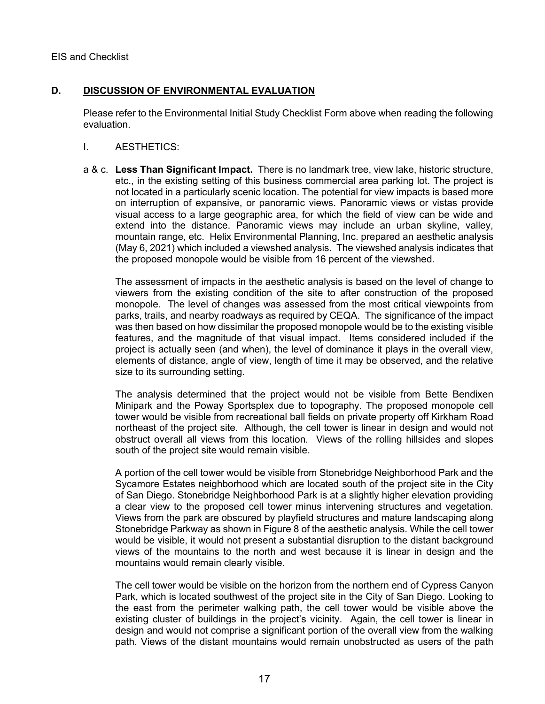### **D. DISCUSSION OF ENVIRONMENTAL EVALUATION**

Please refer to the Environmental Initial Study Checklist Form above when reading the following evaluation.

- I. AESTHETICS:
- a & c. **Less Than Significant Impact.** There is no landmark tree, view lake, historic structure, etc., in the existing setting of this business commercial area parking lot. The project is not located in a particularly scenic location. The potential for view impacts is based more on interruption of expansive, or panoramic views. Panoramic views or vistas provide visual access to a large geographic area, for which the field of view can be wide and extend into the distance. Panoramic views may include an urban skyline, valley, mountain range, etc. Helix Environmental Planning, Inc. prepared an aesthetic analysis (May 6, 2021) which included a viewshed analysis. The viewshed analysis indicates that the proposed monopole would be visible from 16 percent of the viewshed.

The assessment of impacts in the aesthetic analysis is based on the level of change to viewers from the existing condition of the site to after construction of the proposed monopole. The level of changes was assessed from the most critical viewpoints from parks, trails, and nearby roadways as required by CEQA. The significance of the impact was then based on how dissimilar the proposed monopole would be to the existing visible features, and the magnitude of that visual impact. Items considered included if the project is actually seen (and when), the level of dominance it plays in the overall view, elements of distance, angle of view, length of time it may be observed, and the relative size to its surrounding setting.

The analysis determined that the project would not be visible from Bette Bendixen Minipark and the Poway Sportsplex due to topography. The proposed monopole cell tower would be visible from recreational ball fields on private property off Kirkham Road northeast of the project site. Although, the cell tower is linear in design and would not obstruct overall all views from this location. Views of the rolling hillsides and slopes south of the project site would remain visible.

A portion of the cell tower would be visible from Stonebridge Neighborhood Park and the Sycamore Estates neighborhood which are located south of the project site in the City of San Diego. Stonebridge Neighborhood Park is at a slightly higher elevation providing a clear view to the proposed cell tower minus intervening structures and vegetation. Views from the park are obscured by playfield structures and mature landscaping along Stonebridge Parkway as shown in Figure 8 of the aesthetic analysis. While the cell tower would be visible, it would not present a substantial disruption to the distant background views of the mountains to the north and west because it is linear in design and the mountains would remain clearly visible.

The cell tower would be visible on the horizon from the northern end of Cypress Canyon Park, which is located southwest of the project site in the City of San Diego. Looking to the east from the perimeter walking path, the cell tower would be visible above the existing cluster of buildings in the project's vicinity. Again, the cell tower is linear in design and would not comprise a significant portion of the overall view from the walking path. Views of the distant mountains would remain unobstructed as users of the path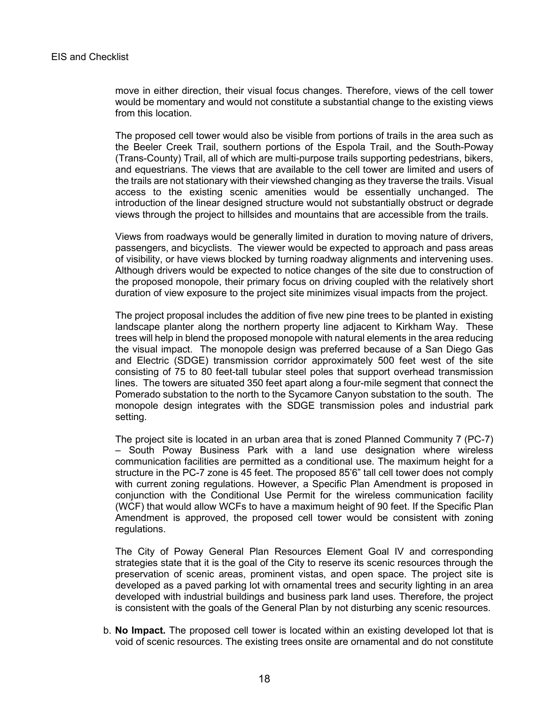move in either direction, their visual focus changes. Therefore, views of the cell tower would be momentary and would not constitute a substantial change to the existing views from this location.

The proposed cell tower would also be visible from portions of trails in the area such as the Beeler Creek Trail, southern portions of the Espola Trail, and the South-Poway (Trans-County) Trail, all of which are multi-purpose trails supporting pedestrians, bikers, and equestrians. The views that are available to the cell tower are limited and users of the trails are not stationary with their viewshed changing as they traverse the trails. Visual access to the existing scenic amenities would be essentially unchanged. The introduction of the linear designed structure would not substantially obstruct or degrade views through the project to hillsides and mountains that are accessible from the trails.

Views from roadways would be generally limited in duration to moving nature of drivers, passengers, and bicyclists. The viewer would be expected to approach and pass areas of visibility, or have views blocked by turning roadway alignments and intervening uses. Although drivers would be expected to notice changes of the site due to construction of the proposed monopole, their primary focus on driving coupled with the relatively short duration of view exposure to the project site minimizes visual impacts from the project.

The project proposal includes the addition of five new pine trees to be planted in existing landscape planter along the northern property line adjacent to Kirkham Way. These trees will help in blend the proposed monopole with natural elements in the area reducing the visual impact. The monopole design was preferred because of a San Diego Gas and Electric (SDGE) transmission corridor approximately 500 feet west of the site consisting of 75 to 80 feet-tall tubular steel poles that support overhead transmission lines. The towers are situated 350 feet apart along a four-mile segment that connect the Pomerado substation to the north to the Sycamore Canyon substation to the south. The monopole design integrates with the SDGE transmission poles and industrial park setting.

The project site is located in an urban area that is zoned Planned Community 7 (PC-7) – South Poway Business Park with a land use designation where wireless communication facilities are permitted as a conditional use. The maximum height for a structure in the PC-7 zone is 45 feet. The proposed 85'6" tall cell tower does not comply with current zoning regulations. However, a Specific Plan Amendment is proposed in conjunction with the Conditional Use Permit for the wireless communication facility (WCF) that would allow WCFs to have a maximum height of 90 feet. If the Specific Plan Amendment is approved, the proposed cell tower would be consistent with zoning regulations.

The City of Poway General Plan Resources Element Goal IV and corresponding strategies state that it is the goal of the City to reserve its scenic resources through the preservation of scenic areas, prominent vistas, and open space. The project site is developed as a paved parking lot with ornamental trees and security lighting in an area developed with industrial buildings and business park land uses. Therefore, the project is consistent with the goals of the General Plan by not disturbing any scenic resources.

b. **No Impact.** The proposed cell tower is located within an existing developed lot that is void of scenic resources. The existing trees onsite are ornamental and do not constitute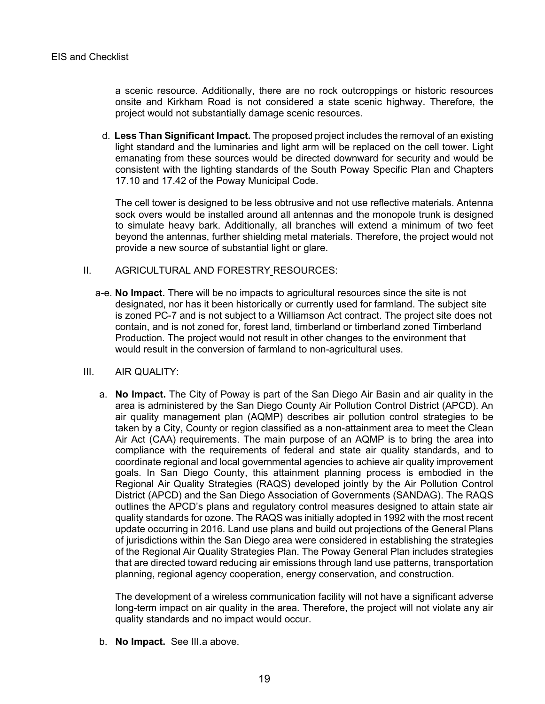a scenic resource. Additionally, there are no rock outcroppings or historic resources onsite and Kirkham Road is not considered a state scenic highway. Therefore, the project would not substantially damage scenic resources.

d. **Less Than Significant Impact.** The proposed project includes the removal of an existing light standard and the luminaries and light arm will be replaced on the cell tower. Light emanating from these sources would be directed downward for security and would be consistent with the lighting standards of the South Poway Specific Plan and Chapters 17.10 and 17.42 of the Poway Municipal Code.

The cell tower is designed to be less obtrusive and not use reflective materials. Antenna sock overs would be installed around all antennas and the monopole trunk is designed to simulate heavy bark. Additionally, all branches will extend a minimum of two feet beyond the antennas, further shielding metal materials. Therefore, the project would not provide a new source of substantial light or glare.

- II. AGRICULTURAL AND FORESTRY RESOURCES:
	- a-e. **No Impact.** There will be no impacts to agricultural resources since the site is not designated, nor has it been historically or currently used for farmland. The subject site is zoned PC-7 and is not subject to a Williamson Act contract. The project site does not contain, and is not zoned for, forest land, timberland or timberland zoned Timberland Production. The project would not result in other changes to the environment that would result in the conversion of farmland to non-agricultural uses.
- III. AIR QUALITY:
	- a. **No Impact.** The City of Poway is part of the San Diego Air Basin and air quality in the area is administered by the San Diego County Air Pollution Control District (APCD). An air quality management plan (AQMP) describes air pollution control strategies to be taken by a City, County or region classified as a non-attainment area to meet the Clean Air Act (CAA) requirements. The main purpose of an AQMP is to bring the area into compliance with the requirements of federal and state air quality standards, and to coordinate regional and local governmental agencies to achieve air quality improvement goals. In San Diego County, this attainment planning process is embodied in the Regional Air Quality Strategies (RAQS) developed jointly by the Air Pollution Control District (APCD) and the San Diego Association of Governments (SANDAG). The RAQS outlines the APCD's plans and regulatory control measures designed to attain state air quality standards for ozone. The RAQS was initially adopted in 1992 with the most recent update occurring in 2016. Land use plans and build out projections of the General Plans of jurisdictions within the San Diego area were considered in establishing the strategies of the Regional Air Quality Strategies Plan. The Poway General Plan includes strategies that are directed toward reducing air emissions through land use patterns, transportation planning, regional agency cooperation, energy conservation, and construction.

The development of a wireless communication facility will not have a significant adverse long-term impact on air quality in the area. Therefore, the project will not violate any air quality standards and no impact would occur.

b. **No Impact.** See III.a above.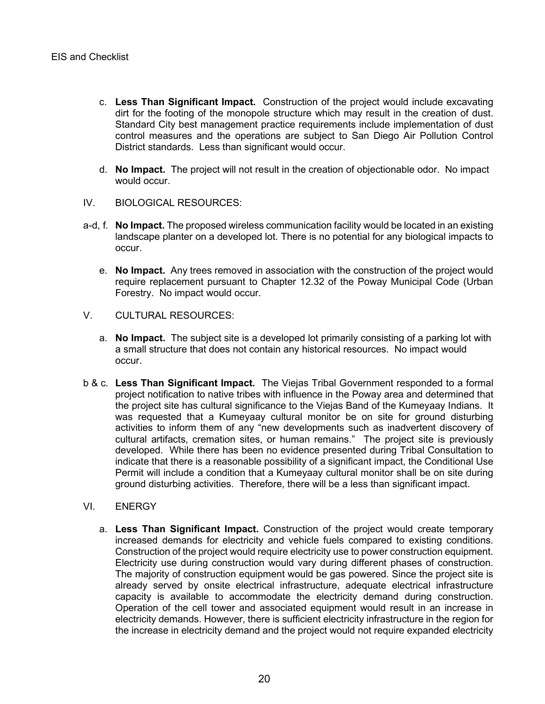- c. **Less Than Significant Impact.** Construction of the project would include excavating dirt for the footing of the monopole structure which may result in the creation of dust. Standard City best management practice requirements include implementation of dust control measures and the operations are subject to San Diego Air Pollution Control District standards. Less than significant would occur.
- d. **No Impact.** The project will not result in the creation of objectionable odor. No impact would occur.
- IV. BIOLOGICAL RESOURCES:
- a-d, f. **No Impact.** The proposed wireless communication facility would be located in an existing landscape planter on a developed lot. There is no potential for any biological impacts to occur.
	- e. **No Impact.** Any trees removed in association with the construction of the project would require replacement pursuant to Chapter 12.32 of the Poway Municipal Code (Urban Forestry. No impact would occur.
- V. CULTURAL RESOURCES:
	- a. **No Impact.** The subject site is a developed lot primarily consisting of a parking lot with a small structure that does not contain any historical resources. No impact would occur.
- b & c. **Less Than Significant Impact.** The Viejas Tribal Government responded to a formal project notification to native tribes with influence in the Poway area and determined that the project site has cultural significance to the Viejas Band of the Kumeyaay Indians. It was requested that a Kumeyaay cultural monitor be on site for ground disturbing activities to inform them of any "new developments such as inadvertent discovery of cultural artifacts, cremation sites, or human remains." The project site is previously developed. While there has been no evidence presented during Tribal Consultation to indicate that there is a reasonable possibility of a significant impact, the Conditional Use Permit will include a condition that a Kumeyaay cultural monitor shall be on site during ground disturbing activities. Therefore, there will be a less than significant impact.
- VI. ENERGY
	- a. **Less Than Significant Impact.** Construction of the project would create temporary increased demands for electricity and vehicle fuels compared to existing conditions. Construction of the project would require electricity use to power construction equipment. Electricity use during construction would vary during different phases of construction. The majority of construction equipment would be gas powered. Since the project site is already served by onsite electrical infrastructure, adequate electrical infrastructure capacity is available to accommodate the electricity demand during construction. Operation of the cell tower and associated equipment would result in an increase in electricity demands. However, there is sufficient electricity infrastructure in the region for the increase in electricity demand and the project would not require expanded electricity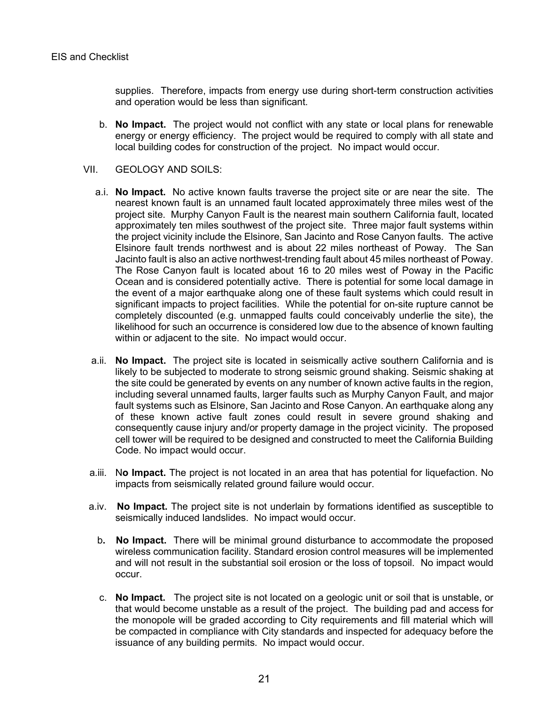supplies. Therefore, impacts from energy use during short-term construction activities and operation would be less than significant.

- b. **No Impact.** The project would not conflict with any state or local plans for renewable energy or energy efficiency. The project would be required to comply with all state and local building codes for construction of the project. No impact would occur.
- VII. GEOLOGY AND SOILS:
	- a.i. **No Impact.** No active known faults traverse the project site or are near the site. The nearest known fault is an unnamed fault located approximately three miles west of the project site. Murphy Canyon Fault is the nearest main southern California fault, located approximately ten miles southwest of the project site. Three major fault systems within the project vicinity include the Elsinore, San Jacinto and Rose Canyon faults. The active Elsinore fault trends northwest and is about 22 miles northeast of Poway. The San Jacinto fault is also an active northwest-trending fault about 45 miles northeast of Poway. The Rose Canyon fault is located about 16 to 20 miles west of Poway in the Pacific Ocean and is considered potentially active. There is potential for some local damage in the event of a major earthquake along one of these fault systems which could result in significant impacts to project facilities. While the potential for on-site rupture cannot be completely discounted (e.g. unmapped faults could conceivably underlie the site), the likelihood for such an occurrence is considered low due to the absence of known faulting within or adjacent to the site. No impact would occur.
	- a.ii. **No Impact.** The project site is located in seismically active southern California and is likely to be subjected to moderate to strong seismic ground shaking. Seismic shaking at the site could be generated by events on any number of known active faults in the region, including several unnamed faults, larger faults such as Murphy Canyon Fault, and major fault systems such as Elsinore, San Jacinto and Rose Canyon. An earthquake along any of these known active fault zones could result in severe ground shaking and consequently cause injury and/or property damage in the project vicinity. The proposed cell tower will be required to be designed and constructed to meet the California Building Code. No impact would occur.
	- a.iii. N**o Impact.** The project is not located in an area that has potential for liquefaction. No impacts from seismically related ground failure would occur.
- a.iv. **No Impact.** The project site is not underlain by formations identified as susceptible to seismically induced landslides. No impact would occur.
	- b**. No Impact.** There will be minimal ground disturbance to accommodate the proposed wireless communication facility. Standard erosion control measures will be implemented and will not result in the substantial soil erosion or the loss of topsoil. No impact would occur.
	- c. **No Impact.** The project site is not located on a geologic unit or soil that is unstable, or that would become unstable as a result of the project. The building pad and access for the monopole will be graded according to City requirements and fill material which will be compacted in compliance with City standards and inspected for adequacy before the issuance of any building permits. No impact would occur.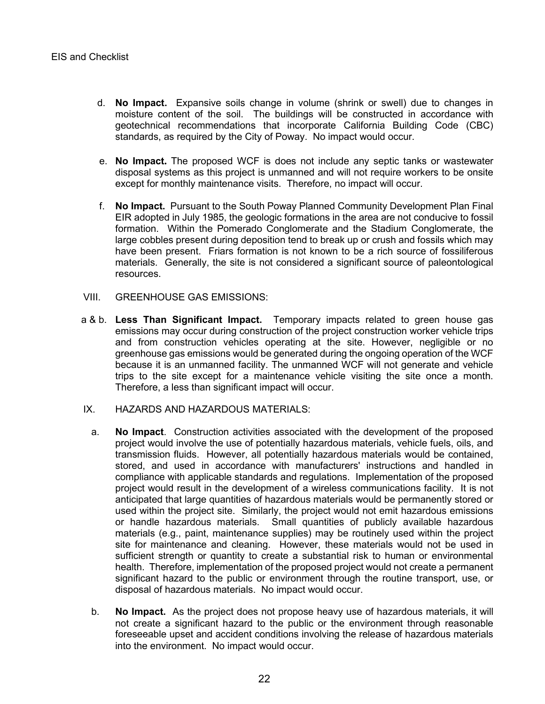- d. **No Impact.** Expansive soils change in volume (shrink or swell) due to changes in moisture content of the soil. The buildings will be constructed in accordance with geotechnical recommendations that incorporate California Building Code (CBC) standards, as required by the City of Poway. No impact would occur.
- e. **No Impact.** The proposed WCF is does not include any septic tanks or wastewater disposal systems as this project is unmanned and will not require workers to be onsite except for monthly maintenance visits. Therefore, no impact will occur.
- f. **No Impact.** Pursuant to the South Poway Planned Community Development Plan Final EIR adopted in July 1985, the geologic formations in the area are not conducive to fossil formation. Within the Pomerado Conglomerate and the Stadium Conglomerate, the large cobbles present during deposition tend to break up or crush and fossils which may have been present. Friars formation is not known to be a rich source of fossiliferous materials. Generally, the site is not considered a significant source of paleontological resources.
- VIII. GREENHOUSE GAS EMISSIONS:
- a & b. **Less Than Significant Impact.** Temporary impacts related to green house gas emissions may occur during construction of the project construction worker vehicle trips and from construction vehicles operating at the site. However, negligible or no greenhouse gas emissions would be generated during the ongoing operation of the WCF because it is an unmanned facility. The unmanned WCF will not generate and vehicle trips to the site except for a maintenance vehicle visiting the site once a month. Therefore, a less than significant impact will occur.
- IX. HAZARDS AND HAZARDOUS MATERIALS:
	- a. **No Impact**. Construction activities associated with the development of the proposed project would involve the use of potentially hazardous materials, vehicle fuels, oils, and transmission fluids. However, all potentially hazardous materials would be contained, stored, and used in accordance with manufacturers' instructions and handled in compliance with applicable standards and regulations. Implementation of the proposed project would result in the development of a wireless communications facility. It is not anticipated that large quantities of hazardous materials would be permanently stored or used within the project site. Similarly, the project would not emit hazardous emissions or handle hazardous materials. Small quantities of publicly available hazardous materials (e.g., paint, maintenance supplies) may be routinely used within the project site for maintenance and cleaning. However, these materials would not be used in sufficient strength or quantity to create a substantial risk to human or environmental health. Therefore, implementation of the proposed project would not create a permanent significant hazard to the public or environment through the routine transport, use, or disposal of hazardous materials. No impact would occur.
	- b. **No Impact.** As the project does not propose heavy use of hazardous materials, it will not create a significant hazard to the public or the environment through reasonable foreseeable upset and accident conditions involving the release of hazardous materials into the environment. No impact would occur.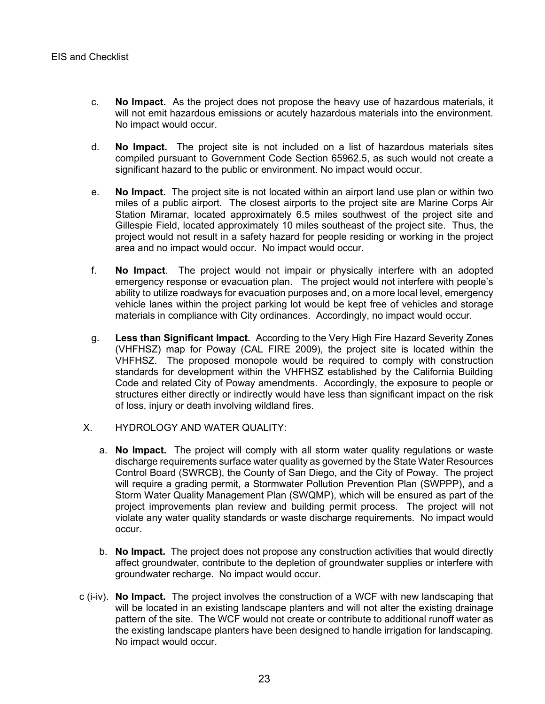- c. **No Impact.** As the project does not propose the heavy use of hazardous materials, it will not emit hazardous emissions or acutely hazardous materials into the environment. No impact would occur.
- d. **No Impact.** The project site is not included on a list of hazardous materials sites compiled pursuant to Government Code Section 65962.5, as such would not create a significant hazard to the public or environment. No impact would occur.
- e. **No Impact.** The project site is not located within an airport land use plan or within two miles of a public airport. The closest airports to the project site are Marine Corps Air Station Miramar, located approximately 6.5 miles southwest of the project site and Gillespie Field, located approximately 10 miles southeast of the project site. Thus, the project would not result in a safety hazard for people residing or working in the project area and no impact would occur. No impact would occur.
- f. **No Impact**. The project would not impair or physically interfere with an adopted emergency response or evacuation plan. The project would not interfere with people's ability to utilize roadways for evacuation purposes and, on a more local level, emergency vehicle lanes within the project parking lot would be kept free of vehicles and storage materials in compliance with City ordinances. Accordingly, no impact would occur.
- g. **Less than Significant Impact.** According to the Very High Fire Hazard Severity Zones (VHFHSZ) map for Poway (CAL FIRE 2009), the project site is located within the VHFHSZ. The proposed monopole would be required to comply with construction standards for development within the VHFHSZ established by the California Building Code and related City of Poway amendments. Accordingly, the exposure to people or structures either directly or indirectly would have less than significant impact on the risk of loss, injury or death involving wildland fires.
- X. HYDROLOGY AND WATER QUALITY:
	- a. **No Impact.** The project will comply with all storm water quality regulations or waste discharge requirements surface water quality as governed by the State Water Resources Control Board (SWRCB), the County of San Diego, and the City of Poway. The project will require a grading permit, a Stormwater Pollution Prevention Plan (SWPPP), and a Storm Water Quality Management Plan (SWQMP), which will be ensured as part of the project improvements plan review and building permit process. The project will not violate any water quality standards or waste discharge requirements. No impact would occur.
	- b. **No Impact.** The project does not propose any construction activities that would directly affect groundwater, contribute to the depletion of groundwater supplies or interfere with groundwater recharge. No impact would occur.
- c (i-iv). **No Impact.** The project involves the construction of a WCF with new landscaping that will be located in an existing landscape planters and will not alter the existing drainage pattern of the site. The WCF would not create or contribute to additional runoff water as the existing landscape planters have been designed to handle irrigation for landscaping. No impact would occur.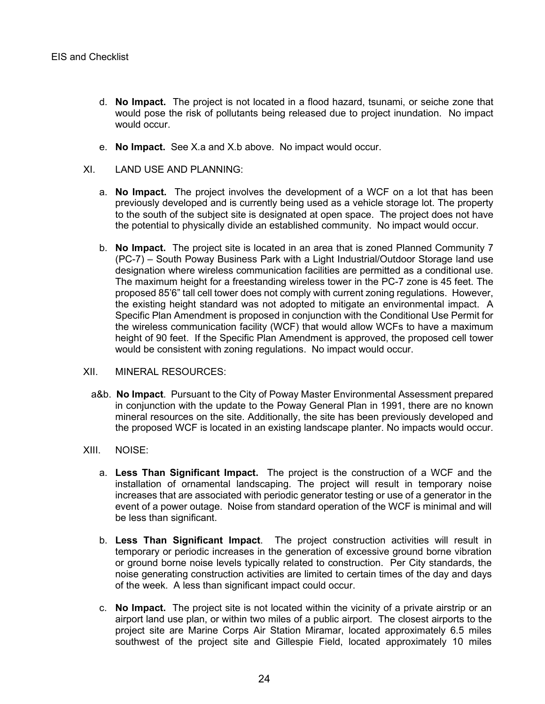- d. **No Impact.** The project is not located in a flood hazard, tsunami, or seiche zone that would pose the risk of pollutants being released due to project inundation. No impact would occur.
- e. **No Impact.** See X.a and X.b above. No impact would occur.
- XI. LAND USE AND PLANNING:
	- a. **No Impact.** The project involves the development of a WCF on a lot that has been previously developed and is currently being used as a vehicle storage lot. The property to the south of the subject site is designated at open space. The project does not have the potential to physically divide an established community. No impact would occur.
	- b. **No Impact.** The project site is located in an area that is zoned Planned Community 7 (PC-7) – South Poway Business Park with a Light Industrial/Outdoor Storage land use designation where wireless communication facilities are permitted as a conditional use. The maximum height for a freestanding wireless tower in the PC-7 zone is 45 feet. The proposed 85'6" tall cell tower does not comply with current zoning regulations. However, the existing height standard was not adopted to mitigate an environmental impact. A Specific Plan Amendment is proposed in conjunction with the Conditional Use Permit for the wireless communication facility (WCF) that would allow WCFs to have a maximum height of 90 feet. If the Specific Plan Amendment is approved, the proposed cell tower would be consistent with zoning regulations. No impact would occur.
- XII. MINERAL RESOURCES:
	- a&b. **No Impact**. Pursuant to the City of Poway Master Environmental Assessment prepared in conjunction with the update to the Poway General Plan in 1991, there are no known mineral resources on the site. Additionally, the site has been previously developed and the proposed WCF is located in an existing landscape planter. No impacts would occur.
- XIII. NOISE:
	- a. **Less Than Significant Impact.** The project is the construction of a WCF and the installation of ornamental landscaping. The project will result in temporary noise increases that are associated with periodic generator testing or use of a generator in the event of a power outage. Noise from standard operation of the WCF is minimal and will be less than significant.
	- b. **Less Than Significant Impact**. The project construction activities will result in temporary or periodic increases in the generation of excessive ground borne vibration or ground borne noise levels typically related to construction. Per City standards, the noise generating construction activities are limited to certain times of the day and days of the week. A less than significant impact could occur.
	- c. **No Impact.** The project site is not located within the vicinity of a private airstrip or an airport land use plan, or within two miles of a public airport. The closest airports to the project site are Marine Corps Air Station Miramar, located approximately 6.5 miles southwest of the project site and Gillespie Field, located approximately 10 miles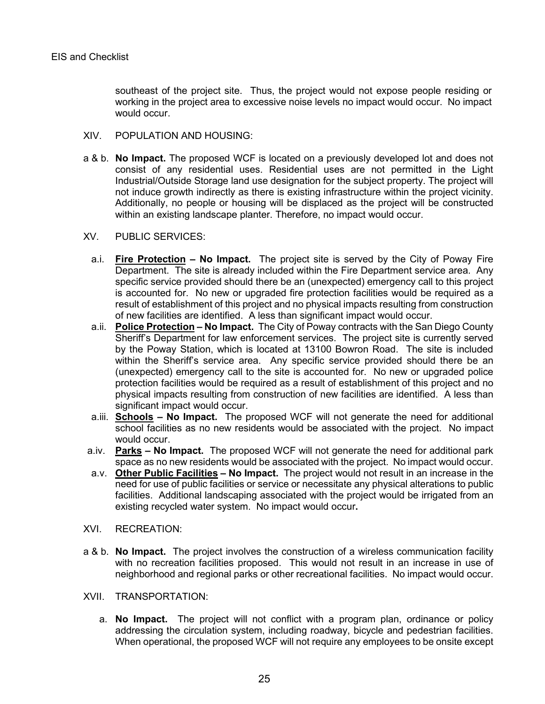southeast of the project site. Thus, the project would not expose people residing or working in the project area to excessive noise levels no impact would occur. No impact would occur.

- XIV. POPULATION AND HOUSING:
- a & b. **No Impact.** The proposed WCF is located on a previously developed lot and does not consist of any residential uses. Residential uses are not permitted in the Light Industrial/Outside Storage land use designation for the subject property. The project will not induce growth indirectly as there is existing infrastructure within the project vicinity. Additionally, no people or housing will be displaced as the project will be constructed within an existing landscape planter. Therefore, no impact would occur.
- XV. PUBLIC SERVICES:
	- a.i. **Fire Protection – No Impact.** The project site is served by the City of Poway Fire Department. The site is already included within the Fire Department service area. Any specific service provided should there be an (unexpected) emergency call to this project is accounted for. No new or upgraded fire protection facilities would be required as a result of establishment of this project and no physical impacts resulting from construction of new facilities are identified. A less than significant impact would occur.
	- a.ii. **Police Protection – No Impact.** The City of Poway contracts with the San Diego County Sheriff's Department for law enforcement services. The project site is currently served by the Poway Station, which is located at 13100 Bowron Road. The site is included within the Sheriff's service area. Any specific service provided should there be an (unexpected) emergency call to the site is accounted for. No new or upgraded police protection facilities would be required as a result of establishment of this project and no physical impacts resulting from construction of new facilities are identified. A less than significant impact would occur.
	- a.iii. **Schools – No Impact.** The proposed WCF will not generate the need for additional school facilities as no new residents would be associated with the project. No impact would occur.
- a.iv. **Parks – No Impact.** The proposed WCF will not generate the need for additional park space as no new residents would be associated with the project. No impact would occur.
- a.v. **Other Public Facilities – No Impact.** The project would not result in an increase in the need for use of public facilities or service or necessitate any physical alterations to public facilities. Additional landscaping associated with the project would be irrigated from an existing recycled water system. No impact would occur**.**
- XVI. RECREATION:
- a & b. **No Impact.** The project involves the construction of a wireless communication facility with no recreation facilities proposed. This would not result in an increase in use of neighborhood and regional parks or other recreational facilities. No impact would occur.
- XVII. TRANSPORTATION:
	- a. **No Impact.** The project will not conflict with a program plan, ordinance or policy addressing the circulation system, including roadway, bicycle and pedestrian facilities. When operational, the proposed WCF will not require any employees to be onsite except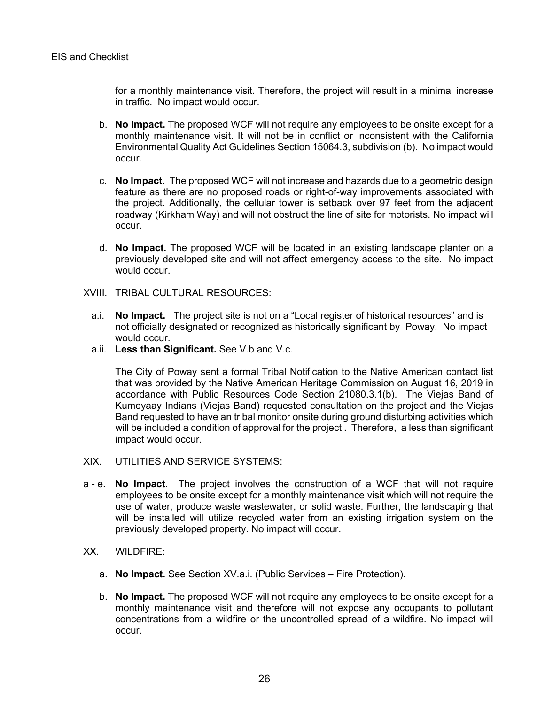for a monthly maintenance visit. Therefore, the project will result in a minimal increase in traffic. No impact would occur.

- b. **No Impact.** The proposed WCF will not require any employees to be onsite except for a monthly maintenance visit. It will not be in conflict or inconsistent with the California Environmental Quality Act Guidelines Section 15064.3, subdivision (b). No impact would occur.
- c. **No Impact.** The proposed WCF will not increase and hazards due to a geometric design feature as there are no proposed roads or right-of-way improvements associated with the project. Additionally, the cellular tower is setback over 97 feet from the adjacent roadway (Kirkham Way) and will not obstruct the line of site for motorists. No impact will occur.
- d. **No Impact.** The proposed WCF will be located in an existing landscape planter on a previously developed site and will not affect emergency access to the site. No impact would occur.
- XVIII. TRIBAL CULTURAL RESOURCES:
	- a.i. **No Impact.** The project site is not on a "Local register of historical resources" and is not officially designated or recognized as historically significant by Poway. No impact would occur.
	- a.ii. **Less than Significant.** See V.b and V.c.

The City of Poway sent a formal Tribal Notification to the Native American contact list that was provided by the Native American Heritage Commission on August 16, 2019 in accordance with Public Resources Code Section 21080.3.1(b). The Viejas Band of Kumeyaay Indians (Viejas Band) requested consultation on the project and the Viejas Band requested to have an tribal monitor onsite during ground disturbing activities which will be included a condition of approval for the project . Therefore, a less than significant impact would occur.

- XIX. UTILITIES AND SERVICE SYSTEMS:
- a e. **No Impact.** The project involves the construction of a WCF that will not require employees to be onsite except for a monthly maintenance visit which will not require the use of water, produce waste wastewater, or solid waste. Further, the landscaping that will be installed will utilize recycled water from an existing irrigation system on the previously developed property. No impact will occur.
- XX. WILDFIRE:
	- a. **No Impact.** See Section XV.a.i. (Public Services Fire Protection).
	- b. **No Impact.** The proposed WCF will not require any employees to be onsite except for a monthly maintenance visit and therefore will not expose any occupants to pollutant concentrations from a wildfire or the uncontrolled spread of a wildfire. No impact will occur.